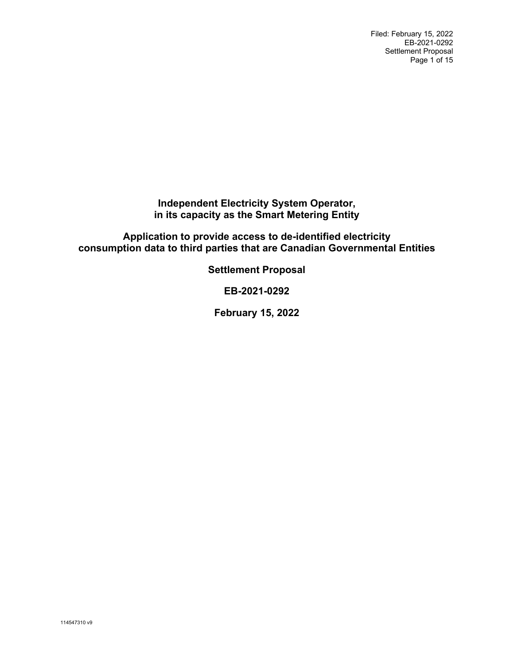Filed: February 15, 2022 EB-2021-0292 Settlement Proposal Page 1 of 15

**Independent Electricity System Operator, in its capacity as the Smart Metering Entity**

**Application to provide access to de-identified electricity consumption data to third parties that are Canadian Governmental Entities**

**Settlement Proposal**

**EB-2021-0292**

**February 15, 2022**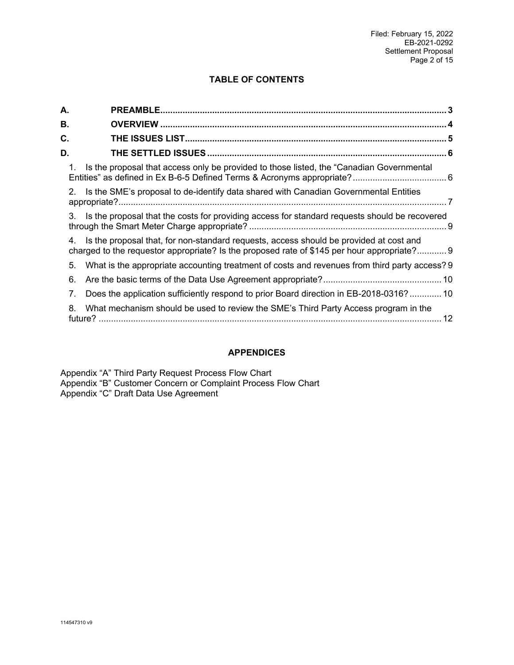# **TABLE OF CONTENTS**

| А. |                                                                                                                                                                                             |
|----|---------------------------------------------------------------------------------------------------------------------------------------------------------------------------------------------|
| В. |                                                                                                                                                                                             |
| C. |                                                                                                                                                                                             |
| D. |                                                                                                                                                                                             |
|    | Is the proposal that access only be provided to those listed, the "Canadian Governmental"<br>1.                                                                                             |
|    | Is the SME's proposal to de-identify data shared with Canadian Governmental Entities<br>2.                                                                                                  |
|    | 3.<br>Is the proposal that the costs for providing access for standard requests should be recovered                                                                                         |
|    | Is the proposal that, for non-standard requests, access should be provided at cost and<br>4.<br>charged to the requestor appropriate? Is the proposed rate of \$145 per hour appropriate? 9 |
|    | What is the appropriate accounting treatment of costs and revenues from third party access? 9<br>5.                                                                                         |
|    | 6.                                                                                                                                                                                          |
|    | Does the application sufficiently respond to prior Board direction in EB-2018-0316? 10<br>7.                                                                                                |
|    | What mechanism should be used to review the SME's Third Party Access program in the<br>8.<br>12                                                                                             |

# **APPENDICES**

Appendix ["A"](#page-12-0) Third Party Request Process Flow Chart Appendix ["B"](#page-13-0) Customer Concern or Complaint Process Flow Chart Appendix ["C"](#page-14-0) Draft Data Use Agreement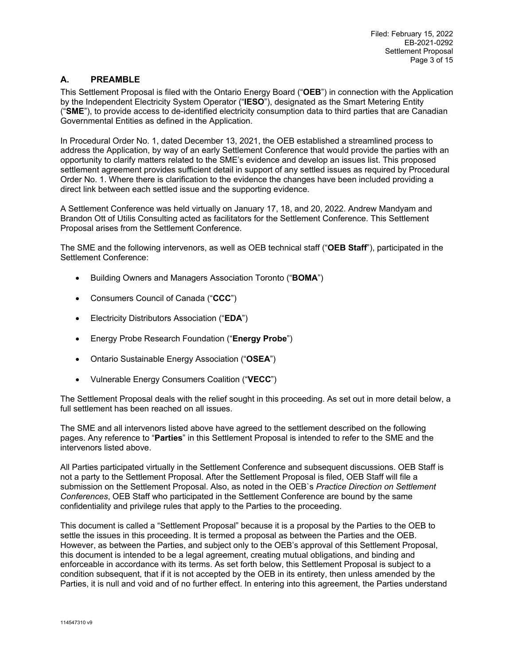## <span id="page-2-0"></span>**A. PREAMBLE**

This Settlement Proposal is filed with the Ontario Energy Board ("**OEB**") in connection with the Application by the Independent Electricity System Operator ("**IESO**"), designated as the Smart Metering Entity ("**SME**"), to provide access to de-identified electricity consumption data to third parties that are Canadian Governmental Entities as defined in the Application.

In Procedural Order No. 1, dated December 13, 2021, the OEB established a streamlined process to address the Application, by way of an early Settlement Conference that would provide the parties with an opportunity to clarify matters related to the SME's evidence and develop an issues list. This proposed settlement agreement provides sufficient detail in support of any settled issues as required by Procedural Order No. 1. Where there is clarification to the evidence the changes have been included providing a direct link between each settled issue and the supporting evidence.

A Settlement Conference was held virtually on January 17, 18, and 20, 2022. Andrew Mandyam and Brandon Ott of Utilis Consulting acted as facilitators for the Settlement Conference. This Settlement Proposal arises from the Settlement Conference.

The SME and the following intervenors, as well as OEB technical staff ("**OEB Staff**"), participated in the Settlement Conference:

- Building Owners and Managers Association Toronto ("**BOMA**")
- Consumers Council of Canada ("**CCC**")
- Electricity Distributors Association ("**EDA**")
- Energy Probe Research Foundation ("**Energy Probe**")
- Ontario Sustainable Energy Association ("**OSEA**")
- Vulnerable Energy Consumers Coalition ("**VECC**")

The Settlement Proposal deals with the relief sought in this proceeding. As set out in more detail below, a full settlement has been reached on all issues.

The SME and all intervenors listed above have agreed to the settlement described on the following pages. Any reference to "**Parties**" in this Settlement Proposal is intended to refer to the SME and the intervenors listed above.

All Parties participated virtually in the Settlement Conference and subsequent discussions. OEB Staff is not a party to the Settlement Proposal. After the Settlement Proposal is filed, OEB Staff will file a submission on the Settlement Proposal. Also, as noted in the OEB`s *Practice Direction on Settlement Conferences*, OEB Staff who participated in the Settlement Conference are bound by the same confidentiality and privilege rules that apply to the Parties to the proceeding.

This document is called a "Settlement Proposal" because it is a proposal by the Parties to the OEB to settle the issues in this proceeding. It is termed a proposal as between the Parties and the OEB. However, as between the Parties, and subject only to the OEB's approval of this Settlement Proposal, this document is intended to be a legal agreement, creating mutual obligations, and binding and enforceable in accordance with its terms. As set forth below, this Settlement Proposal is subject to a condition subsequent, that if it is not accepted by the OEB in its entirety, then unless amended by the Parties, it is null and void and of no further effect. In entering into this agreement, the Parties understand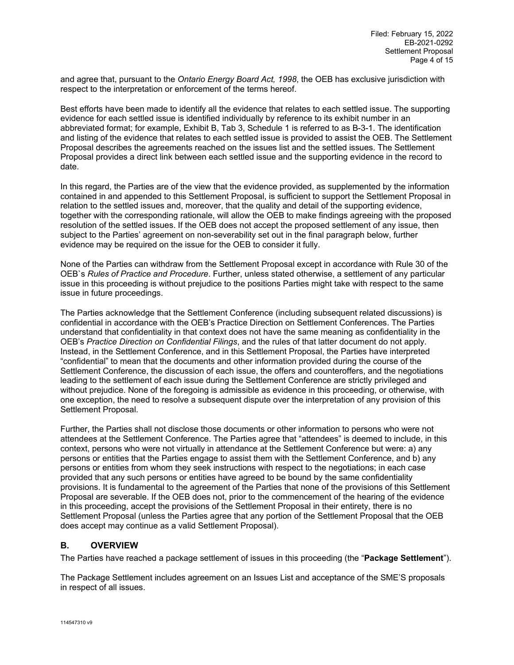and agree that, pursuant to the *Ontario Energy Board Act, 1998*, the OEB has exclusive jurisdiction with respect to the interpretation or enforcement of the terms hereof.

Best efforts have been made to identify all the evidence that relates to each settled issue. The supporting evidence for each settled issue is identified individually by reference to its exhibit number in an abbreviated format; for example, Exhibit B, Tab 3, Schedule 1 is referred to as B-3-1. The identification and listing of the evidence that relates to each settled issue is provided to assist the OEB. The Settlement Proposal describes the agreements reached on the issues list and the settled issues. The Settlement Proposal provides a direct link between each settled issue and the supporting evidence in the record to date.

In this regard, the Parties are of the view that the evidence provided, as supplemented by the information contained in and appended to this Settlement Proposal, is sufficient to support the Settlement Proposal in relation to the settled issues and, moreover, that the quality and detail of the supporting evidence, together with the corresponding rationale, will allow the OEB to make findings agreeing with the proposed resolution of the settled issues. If the OEB does not accept the proposed settlement of any issue, then subject to the Parties' agreement on non-severability set out in the final paragraph below, further evidence may be required on the issue for the OEB to consider it fully.

None of the Parties can withdraw from the Settlement Proposal except in accordance with Rule 30 of the OEB`s *Rules of Practice and Procedure*. Further, unless stated otherwise, a settlement of any particular issue in this proceeding is without prejudice to the positions Parties might take with respect to the same issue in future proceedings.

The Parties acknowledge that the Settlement Conference (including subsequent related discussions) is confidential in accordance with the OEB's Practice Direction on Settlement Conferences. The Parties understand that confidentiality in that context does not have the same meaning as confidentiality in the OEB's *Practice Direction on Confidential Filings*, and the rules of that latter document do not apply. Instead, in the Settlement Conference, and in this Settlement Proposal, the Parties have interpreted "confidential" to mean that the documents and other information provided during the course of the Settlement Conference, the discussion of each issue, the offers and counteroffers, and the negotiations leading to the settlement of each issue during the Settlement Conference are strictly privileged and without prejudice. None of the foregoing is admissible as evidence in this proceeding, or otherwise, with one exception, the need to resolve a subsequent dispute over the interpretation of any provision of this Settlement Proposal.

Further, the Parties shall not disclose those documents or other information to persons who were not attendees at the Settlement Conference. The Parties agree that "attendees" is deemed to include, in this context, persons who were not virtually in attendance at the Settlement Conference but were: a) any persons or entities that the Parties engage to assist them with the Settlement Conference, and b) any persons or entities from whom they seek instructions with respect to the negotiations; in each case provided that any such persons or entities have agreed to be bound by the same confidentiality provisions. It is fundamental to the agreement of the Parties that none of the provisions of this Settlement Proposal are severable. If the OEB does not, prior to the commencement of the hearing of the evidence in this proceeding, accept the provisions of the Settlement Proposal in their entirety, there is no Settlement Proposal (unless the Parties agree that any portion of the Settlement Proposal that the OEB does accept may continue as a valid Settlement Proposal).

## <span id="page-3-0"></span>**B. OVERVIEW**

The Parties have reached a package settlement of issues in this proceeding (the "**Package Settlement**").

The Package Settlement includes agreement on an Issues List and acceptance of the SME'S proposals in respect of all issues.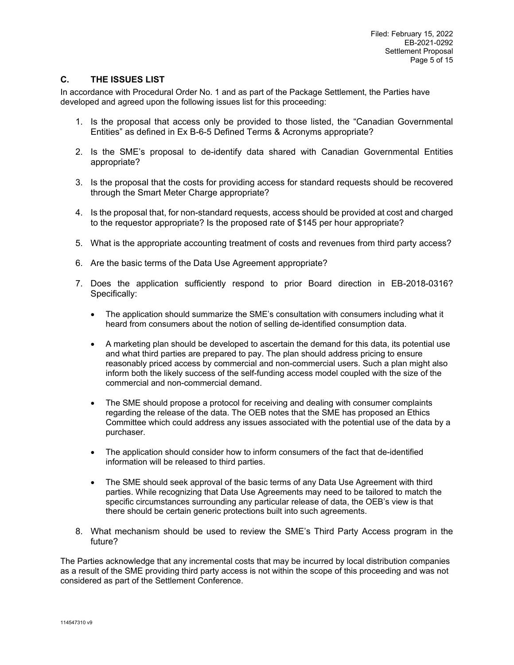## <span id="page-4-0"></span>**C. THE ISSUES LIST**

In accordance with Procedural Order No. 1 and as part of the Package Settlement, the Parties have developed and agreed upon the following issues list for this proceeding:

- 1. Is the proposal that access only be provided to those listed, the "Canadian Governmental Entities" as defined in Ex B-6-5 Defined Terms & Acronyms appropriate?
- 2. Is the SME's proposal to de-identify data shared with Canadian Governmental Entities appropriate?
- 3. Is the proposal that the costs for providing access for standard requests should be recovered through the Smart Meter Charge appropriate?
- 4. Is the proposal that, for non-standard requests, access should be provided at cost and charged to the requestor appropriate? Is the proposed rate of \$145 per hour appropriate?
- 5. What is the appropriate accounting treatment of costs and revenues from third party access?
- 6. Are the basic terms of the Data Use Agreement appropriate?
- 7. Does the application sufficiently respond to prior Board direction in EB-2018-0316? Specifically:
	- The application should summarize the SME's consultation with consumers including what it heard from consumers about the notion of selling de-identified consumption data.
	- A marketing plan should be developed to ascertain the demand for this data, its potential use and what third parties are prepared to pay. The plan should address pricing to ensure reasonably priced access by commercial and non-commercial users. Such a plan might also inform both the likely success of the self-funding access model coupled with the size of the commercial and non-commercial demand.
	- The SME should propose a protocol for receiving and dealing with consumer complaints regarding the release of the data. The OEB notes that the SME has proposed an Ethics Committee which could address any issues associated with the potential use of the data by a purchaser.
	- The application should consider how to inform consumers of the fact that de-identified information will be released to third parties.
	- The SME should seek approval of the basic terms of any Data Use Agreement with third parties. While recognizing that Data Use Agreements may need to be tailored to match the specific circumstances surrounding any particular release of data, the OEB's view is that there should be certain generic protections built into such agreements.
- 8. What mechanism should be used to review the SME's Third Party Access program in the future?

The Parties acknowledge that any incremental costs that may be incurred by local distribution companies as a result of the SME providing third party access is not within the scope of this proceeding and was not considered as part of the Settlement Conference.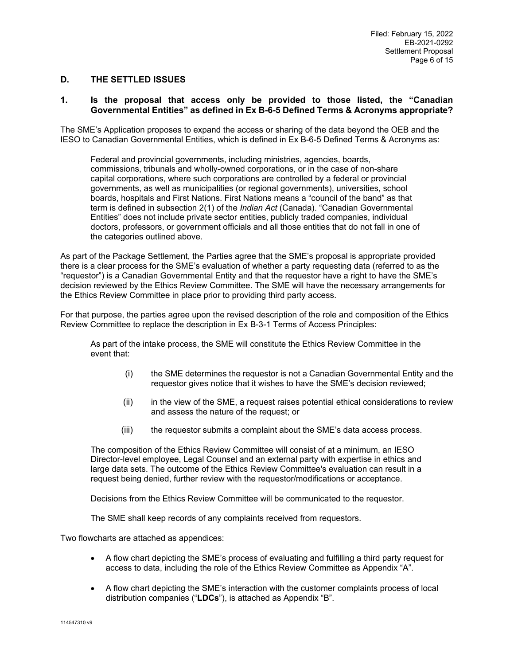### <span id="page-5-0"></span>**D. THE SETTLED ISSUES**

### <span id="page-5-1"></span>**1. Is the proposal that access only be provided to those listed, the "Canadian Governmental Entities" as defined in Ex B-6-5 Defined Terms & Acronyms appropriate?**

The SME's Application proposes to expand the access or sharing of the data beyond the OEB and the IESO to Canadian Governmental Entities, which is defined in Ex B-6-5 Defined Terms & Acronyms as:

Federal and provincial governments, including ministries, agencies, boards, commissions, tribunals and wholly-owned corporations, or in the case of non-share capital corporations, where such corporations are controlled by a federal or provincial governments, as well as municipalities (or regional governments), universities, school boards, hospitals and First Nations. First Nations means a "council of the band" as that term is defined in subsection 2(1) of the *Indian Act* (Canada). "Canadian Governmental Entities" does not include private sector entities, publicly traded companies, individual doctors, professors, or government officials and all those entities that do not fall in one of the categories outlined above.

As part of the Package Settlement, the Parties agree that the SME's proposal is appropriate provided there is a clear process for the SME's evaluation of whether a party requesting data (referred to as the "requestor") is a Canadian Governmental Entity and that the requestor have a right to have the SME's decision reviewed by the Ethics Review Committee. The SME will have the necessary arrangements for the Ethics Review Committee in place prior to providing third party access.

For that purpose, the parties agree upon the revised description of the role and composition of the Ethics Review Committee to replace the description in Ex B-3-1 Terms of Access Principles:

As part of the intake process, the SME will constitute the Ethics Review Committee in the event that:

- (i) the SME determines the requestor is not a Canadian Governmental Entity and the requestor gives notice that it wishes to have the SME's decision reviewed;
- (ii) in the view of the SME, a request raises potential ethical considerations to review and assess the nature of the request; or
- (iii) the requestor submits a complaint about the SME's data access process.

The composition of the Ethics Review Committee will consist of at a minimum, an IESO Director-level employee, Legal Counsel and an external party with expertise in ethics and large data sets. The outcome of the Ethics Review Committee's evaluation can result in a request being denied, further review with the requestor/modifications or acceptance.

Decisions from the Ethics Review Committee will be communicated to the requestor.

The SME shall keep records of any complaints received from requestors.

Two flowcharts are attached as appendices:

- A flow chart depicting the SME's process of evaluating and fulfilling a third party request for access to data, including the role of the Ethics Review Committee as Appendix ["A"](#page-12-0).
- A flow chart depicting the SME's interaction with the customer complaints process of local distribution companies ("**LDCs**"), is attached as Appendix ["B"](#page-13-0).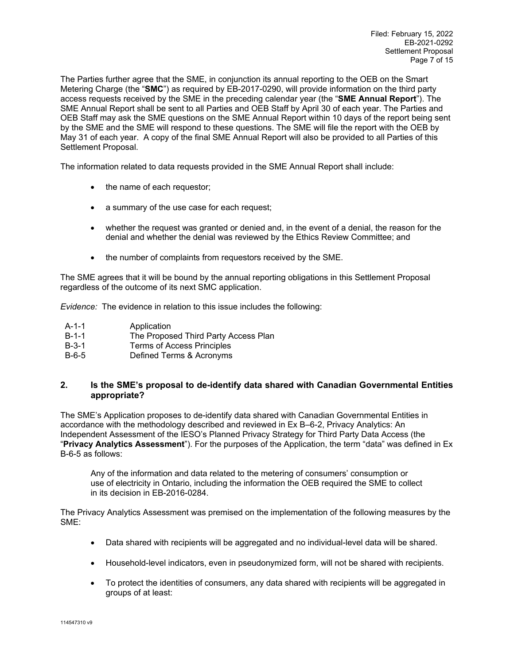The Parties further agree that the SME, in conjunction its annual reporting to the OEB on the Smart Metering Charge (the "**SMC**") as required by EB-2017-0290, will provide information on the third party access requests received by the SME in the preceding calendar year (the "**SME Annual Report**"). The SME Annual Report shall be sent to all Parties and OEB Staff by April 30 of each year. The Parties and OEB Staff may ask the SME questions on the SME Annual Report within 10 days of the report being sent by the SME and the SME will respond to these questions. The SME will file the report with the OEB by May 31 of each year. A copy of the final SME Annual Report will also be provided to all Parties of this Settlement Proposal.

The information related to data requests provided in the SME Annual Report shall include:

- the name of each requestor;
- a summary of the use case for each request;
- whether the request was granted or denied and, in the event of a denial, the reason for the denial and whether the denial was reviewed by the Ethics Review Committee; and
- the number of complaints from requestors received by the SME.

The SME agrees that it will be bound by the annual reporting obligations in this Settlement Proposal regardless of the outcome of its next SMC application.

*Evidence:* The evidence in relation to this issue includes the following:

| A-1-1 | Application                          |
|-------|--------------------------------------|
| B-1-1 | The Proposed Third Party Access Plan |
| B-3-1 | Terms of Access Principles           |
| .     | $D = 1$ $\ldots$ $T = 0$ $\ldots$    |

#### B-6-5 Defined Terms & Acronyms

### <span id="page-6-0"></span>**2. Is the SME's proposal to de-identify data shared with Canadian Governmental Entities appropriate?**

The SME's Application proposes to de-identify data shared with Canadian Governmental Entities in accordance with the methodology described and reviewed in Ex B–6-2, Privacy Analytics: An Independent Assessment of the IESO's Planned Privacy Strategy for Third Party Data Access (the "**Privacy Analytics Assessment**"). For the purposes of the Application, the term "data" was defined in Ex B-6-5 as follows:

Any of the information and data related to the metering of consumers' consumption or use of electricity in Ontario, including the information the OEB required the SME to collect in its decision in EB-2016-0284.

The Privacy Analytics Assessment was premised on the implementation of the following measures by the SME:

- Data shared with recipients will be aggregated and no individual-level data will be shared.
- Household-level indicators, even in pseudonymized form, will not be shared with recipients.
- To protect the identities of consumers, any data shared with recipients will be aggregated in groups of at least: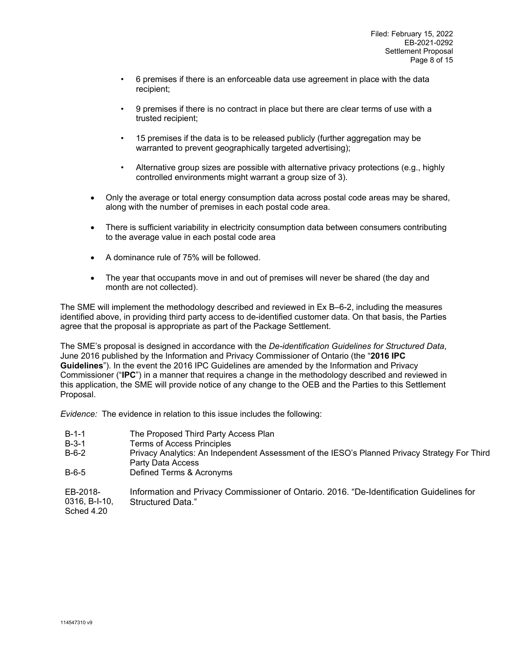- 6 premises if there is an enforceable data use agreement in place with the data recipient;
- 9 premises if there is no contract in place but there are clear terms of use with a trusted recipient;
- 15 premises if the data is to be released publicly (further aggregation may be warranted to prevent geographically targeted advertising);
- Alternative group sizes are possible with alternative privacy protections (e.g., highly controlled environments might warrant a group size of 3).
- Only the average or total energy consumption data across postal code areas may be shared, along with the number of premises in each postal code area.
- There is sufficient variability in electricity consumption data between consumers contributing to the average value in each postal code area
- A dominance rule of 75% will be followed.
- The year that occupants move in and out of premises will never be shared (the day and month are not collected).

The SME will implement the methodology described and reviewed in Ex B–6-2, including the measures identified above, in providing third party access to de-identified customer data. On that basis, the Parties agree that the proposal is appropriate as part of the Package Settlement.

The SME's proposal is designed in accordance with the *De-identification Guidelines for Structured Data*, June 2016 published by the Information and Privacy Commissioner of Ontario (the "**2016 IPC Guidelines**"). In the event the 2016 IPC Guidelines are amended by the Information and Privacy Commissioner ("**IPC**") in a manner that requires a change in the methodology described and reviewed in this application, the SME will provide notice of any change to the OEB and the Parties to this Settlement Proposal.

*Evidence:* The evidence in relation to this issue includes the following:

B-1-1 The Proposed Third Party Access Plan<br>B-3-1 Terms of Access Principles B-3-1 Terms of Access Principles Privacy Analytics: An Independent Assessment of the IESO's Planned Privacy Strategy For Third Party Data Access B-6-5 Defined Terms & Acronyms EB-2018- Information and Privacy Commissioner of Ontario. 2016. "De-Identification Guidelines for

0316, B-I-10, Structured Data."

Sched 4.20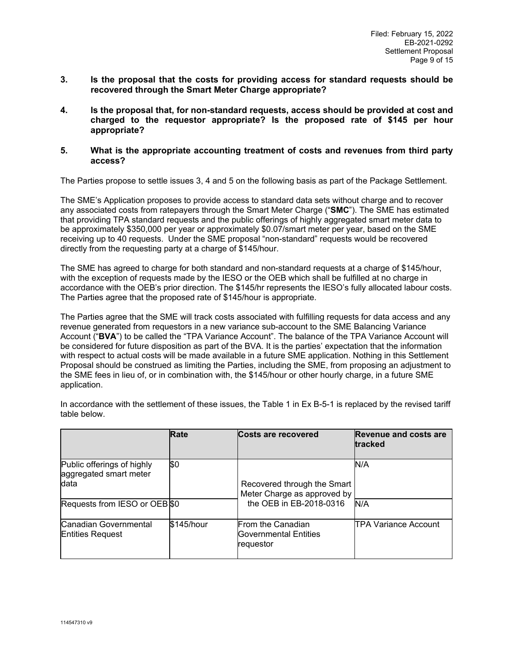- <span id="page-8-0"></span>**3. Is the proposal that the costs for providing access for standard requests should be recovered through the Smart Meter Charge appropriate?**
- <span id="page-8-1"></span>**4. Is the proposal that, for non-standard requests, access should be provided at cost and charged to the requestor appropriate? Is the proposed rate of \$145 per hour appropriate?**
- <span id="page-8-2"></span>**5. What is the appropriate accounting treatment of costs and revenues from third party access?**

The Parties propose to settle issues 3, 4 and 5 on the following basis as part of the Package Settlement.

The SME's Application proposes to provide access to standard data sets without charge and to recover any associated costs from ratepayers through the Smart Meter Charge ("**SMC**"). The SME has estimated that providing TPA standard requests and the public offerings of highly aggregated smart meter data to be approximately \$350,000 per year or approximately \$0.07/smart meter per year, based on the SME receiving up to 40 requests. Under the SME proposal "non-standard" requests would be recovered directly from the requesting party at a charge of \$145/hour.

The SME has agreed to charge for both standard and non-standard requests at a charge of \$145/hour, with the exception of requests made by the IESO or the OEB which shall be fulfilled at no charge in accordance with the OEB's prior direction. The \$145/hr represents the IESO's fully allocated labour costs. The Parties agree that the proposed rate of \$145/hour is appropriate.

The Parties agree that the SME will track costs associated with fulfilling requests for data access and any revenue generated from requestors in a new variance sub-account to the SME Balancing Variance Account ("**BVA**") to be called the "TPA Variance Account". The balance of the TPA Variance Account will be considered for future disposition as part of the BVA. It is the parties' expectation that the information with respect to actual costs will be made available in a future SME application. Nothing in this Settlement Proposal should be construed as limiting the Parties, including the SME, from proposing an adjustment to the SME fees in lieu of, or in combination with, the \$145/hour or other hourly charge, in a future SME application.

|                                                              | Rate        | Costs are recovered                                                                   | <b>Revenue and costs are</b><br>tracked |
|--------------------------------------------------------------|-------------|---------------------------------------------------------------------------------------|-----------------------------------------|
| Public offerings of highly<br>aggregated smart meter<br>data | <b>\\$0</b> | Recovered through the Smart<br>Meter Charge as approved by<br>the OEB in EB-2018-0316 | N/A                                     |
| Requests from IESO or OEB \$0                                |             |                                                                                       | N/A                                     |
| Canadian Governmental<br><b>Entities Request</b>             | \$145/hour  | From the Canadian<br>Governmental Entities<br>lrequestor                              | <b>TPA Variance Account</b>             |

In accordance with the settlement of these issues, the Table 1 in Ex B-5-1 is replaced by the revised tariff table below.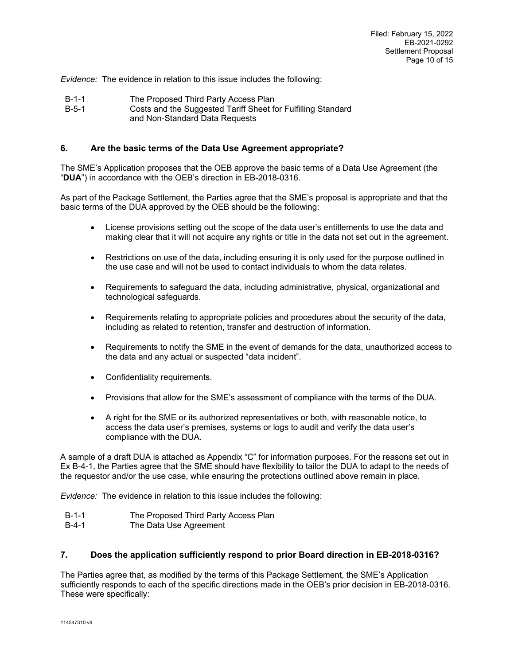*Evidence:* The evidence in relation to this issue includes the following:

- B-1-1 The Proposed Third Party Access Plan<br>B-5-1 Costs and the Suggested Tariff Sheet for
- Costs and the Suggested Tariff Sheet for Fulfilling Standard and Non-Standard Data Requests

### <span id="page-9-0"></span>**6. Are the basic terms of the Data Use Agreement appropriate?**

The SME's Application proposes that the OEB approve the basic terms of a Data Use Agreement (the "**DUA**") in accordance with the OEB's direction in EB-2018-0316.

As part of the Package Settlement, the Parties agree that the SME's proposal is appropriate and that the basic terms of the DUA approved by the OEB should be the following:

- License provisions setting out the scope of the data user's entitlements to use the data and making clear that it will not acquire any rights or title in the data not set out in the agreement.
- Restrictions on use of the data, including ensuring it is only used for the purpose outlined in the use case and will not be used to contact individuals to whom the data relates.
- Requirements to safeguard the data, including administrative, physical, organizational and technological safeguards.
- Requirements relating to appropriate policies and procedures about the security of the data, including as related to retention, transfer and destruction of information.
- Requirements to notify the SME in the event of demands for the data, unauthorized access to the data and any actual or suspected "data incident".
- Confidentiality requirements.
- Provisions that allow for the SME's assessment of compliance with the terms of the DUA.
- A right for the SME or its authorized representatives or both, with reasonable notice, to access the data user's premises, systems or logs to audit and verify the data user's compliance with the DUA.

A sample of a draft DUA is attached as Appendix ["C"](#page-14-0) for information purposes. For the reasons set out in Ex B-4-1, the Parties agree that the SME should have flexibility to tailor the DUA to adapt to the needs of the requestor and/or the use case, while ensuring the protections outlined above remain in place.

*Evidence:* The evidence in relation to this issue includes the following:

- B-1-1 The Proposed Third Party Access Plan
- B-4-1 The Data Use Agreement

#### <span id="page-9-1"></span>**7. Does the application sufficiently respond to prior Board direction in EB-2018-0316?**

The Parties agree that, as modified by the terms of this Package Settlement, the SME's Application sufficiently responds to each of the specific directions made in the OEB's prior decision in EB-2018-0316. These were specifically: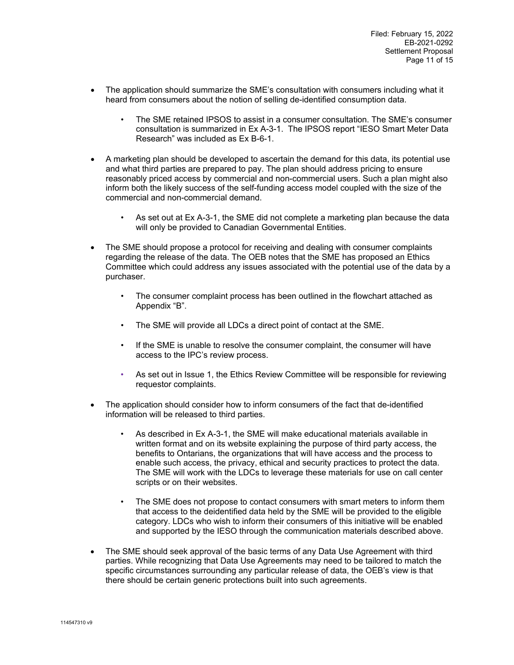- The application should summarize the SME's consultation with consumers including what it heard from consumers about the notion of selling de-identified consumption data.
	- The SME retained IPSOS to assist in a consumer consultation. The SME's consumer consultation is summarized in Ex A-3-1. The IPSOS report "IESO Smart Meter Data Research" was included as Ex B-6-1.
- A marketing plan should be developed to ascertain the demand for this data, its potential use and what third parties are prepared to pay. The plan should address pricing to ensure reasonably priced access by commercial and non-commercial users. Such a plan might also inform both the likely success of the self-funding access model coupled with the size of the commercial and non-commercial demand.
	- As set out at Ex A-3-1, the SME did not complete a marketing plan because the data will only be provided to Canadian Governmental Entities.
- The SME should propose a protocol for receiving and dealing with consumer complaints regarding the release of the data. The OEB notes that the SME has proposed an Ethics Committee which could address any issues associated with the potential use of the data by a purchaser.
	- The consumer complaint process has been outlined in the flowchart attached as Appendix "B".
	- The SME will provide all LDCs a direct point of contact at the SME.
	- If the SME is unable to resolve the consumer complaint, the consumer will have access to the IPC's review process.
	- As set out in Issue 1, the Ethics Review Committee will be responsible for reviewing requestor complaints.
- The application should consider how to inform consumers of the fact that de-identified information will be released to third parties.
	- As described in Ex A-3-1, the SME will make educational materials available in written format and on its website explaining the purpose of third party access, the benefits to Ontarians, the organizations that will have access and the process to enable such access, the privacy, ethical and security practices to protect the data. The SME will work with the LDCs to leverage these materials for use on call center scripts or on their websites.
	- The SME does not propose to contact consumers with smart meters to inform them that access to the deidentified data held by the SME will be provided to the eligible category. LDCs who wish to inform their consumers of this initiative will be enabled and supported by the IESO through the communication materials described above.
- The SME should seek approval of the basic terms of any Data Use Agreement with third parties. While recognizing that Data Use Agreements may need to be tailored to match the specific circumstances surrounding any particular release of data, the OEB's view is that there should be certain generic protections built into such agreements.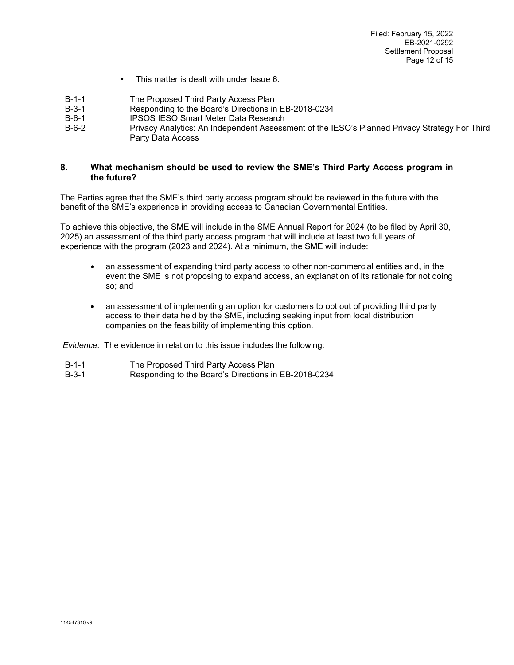- This matter is dealt with under Issue 6.
- B-1-1 The Proposed Third Party Access Plan<br>B-3-1 Responding to the Board's Directions in
- Responding to the Board's Directions in EB-2018-0234
- B-6-1 IPSOS IESO Smart Meter Data Research
- Privacy Analytics: An Independent Assessment of the IESO's Planned Privacy Strategy For Third Party Data Access

### <span id="page-11-0"></span>**8. What mechanism should be used to review the SME's Third Party Access program in the future?**

The Parties agree that the SME's third party access program should be reviewed in the future with the benefit of the SME's experience in providing access to Canadian Governmental Entities.

To achieve this objective, the SME will include in the SME Annual Report for 2024 (to be filed by April 30, 2025) an assessment of the third party access program that will include at least two full years of experience with the program (2023 and 2024). At a minimum, the SME will include:

- an assessment of expanding third party access to other non-commercial entities and, in the event the SME is not proposing to expand access, an explanation of its rationale for not doing so; and
- an assessment of implementing an option for customers to opt out of providing third party access to their data held by the SME, including seeking input from local distribution companies on the feasibility of implementing this option.

*Evidence:* The evidence in relation to this issue includes the following:

- B-1-1 The Proposed Third Party Access Plan<br>B-3-1 Responding to the Board's Directions in
- Responding to the Board's Directions in EB-2018-0234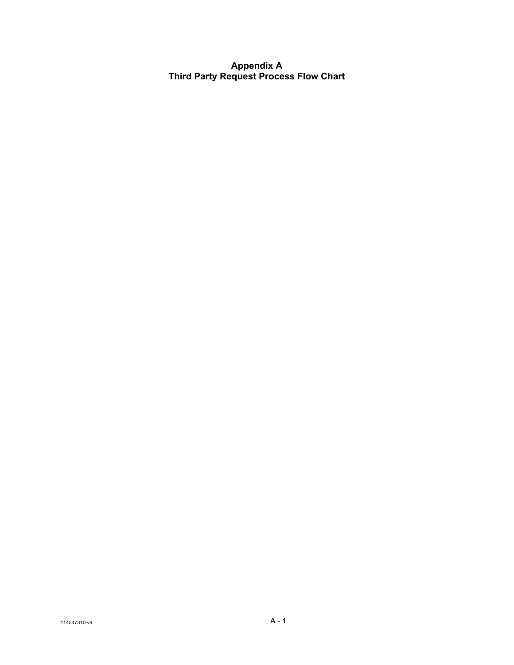<span id="page-12-0"></span>**Appendix A Third Party Request Process Flow Chart**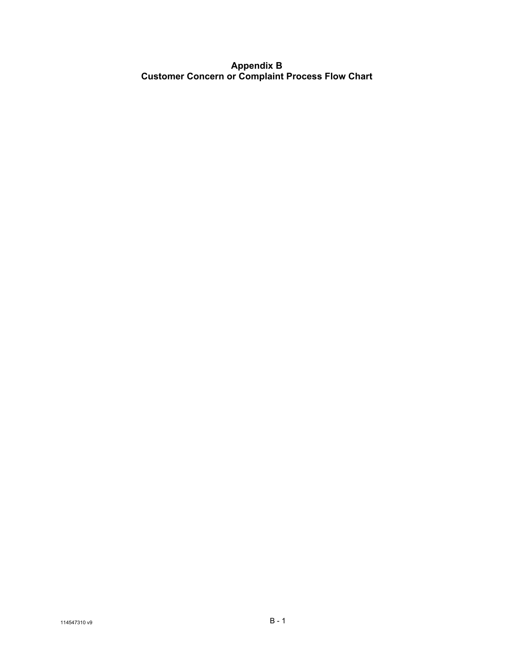# <span id="page-13-0"></span>**Appendix B Customer Concern or Complaint Process Flow Chart**